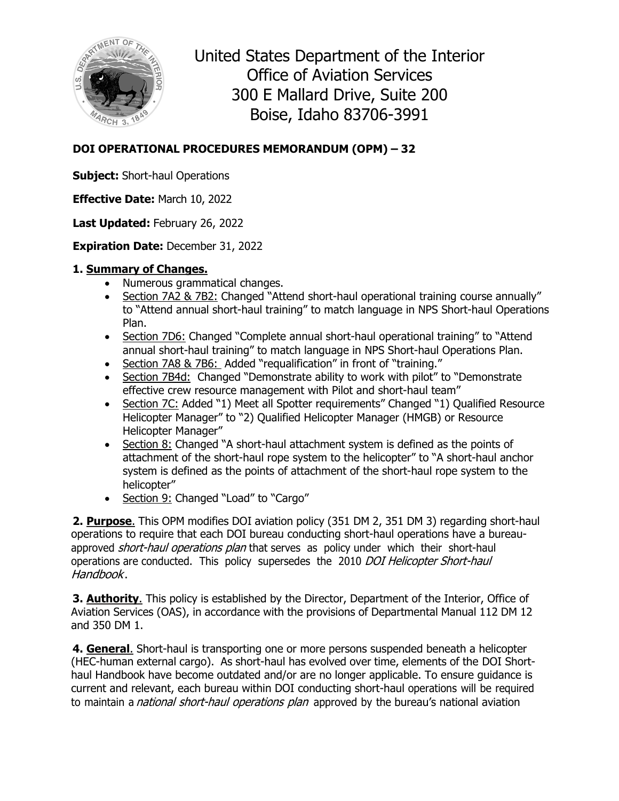

United States Department of the Interior Office of Aviation Services 300 E Mallard Drive, Suite 200 Boise, Idaho 83706-3991

## **DOI OPERATIONAL PROCEDURES MEMORANDUM (OPM) – 32**

**Subject:** Short-haul Operations

**Effective Date:** March 10, 2022

**Last Updated:** February 26, 2022

**Expiration Date:** December 31, 2022

## **1. Summary of Changes.**

- Numerous grammatical changes.
- Section 7A2 & 7B2: Changed "Attend short-haul operational training course annually" to "Attend annual short-haul training" to match language in NPS Short-haul Operations Plan.
- Section 7D6: Changed "Complete annual short-haul operational training" to "Attend annual short-haul training" to match language in NPS Short-haul Operations Plan.
- Section 7A8 & 7B6: Added "requalification" in front of "training."
- Section 7B4d: Changed "Demonstrate ability to work with pilot" to "Demonstrate effective crew resource management with Pilot and short-haul team"
- Section 7C: Added "1) Meet all Spotter requirements" Changed "1) Qualified Resource Helicopter Manager" to "2) Qualified Helicopter Manager (HMGB) or Resource Helicopter Manager"
- Section 8: Changed "A short-haul attachment system is defined as the points of attachment of the short-haul rope system to the helicopter" to "A short-haul anchor system is defined as the points of attachment of the short-haul rope system to the helicopter"
- Section 9: Changed "Load" to "Cargo"

**2. Purpose**. This OPM modifies DOI aviation policy (351 DM 2, 351 DM 3) regarding short-haul operations to require that each DOI bureau conducting short-haul operations have a bureauapproved short-haul operations plan that serves as policy under which their short-haul operations are conducted. This policy supersedes the 2010 DOI Helicopter Short-haul Handbook.

**3. Authority**. This policy is established by the Director, Department of the Interior, Office of Aviation Services (OAS), in accordance with the provisions of Departmental Manual 112 DM 12 and 350 DM 1.

**4. General**. Short-haul is transporting one or more persons suspended beneath a helicopter (HEC-human external cargo). As short-haul has evolved over time, elements of the DOI Shorthaul Handbook have become outdated and/or are no longer applicable. To ensure guidance is current and relevant, each bureau within DOI conducting short-haul operations will be required to maintain a *national short-haul operations plan* approved by the bureau's national aviation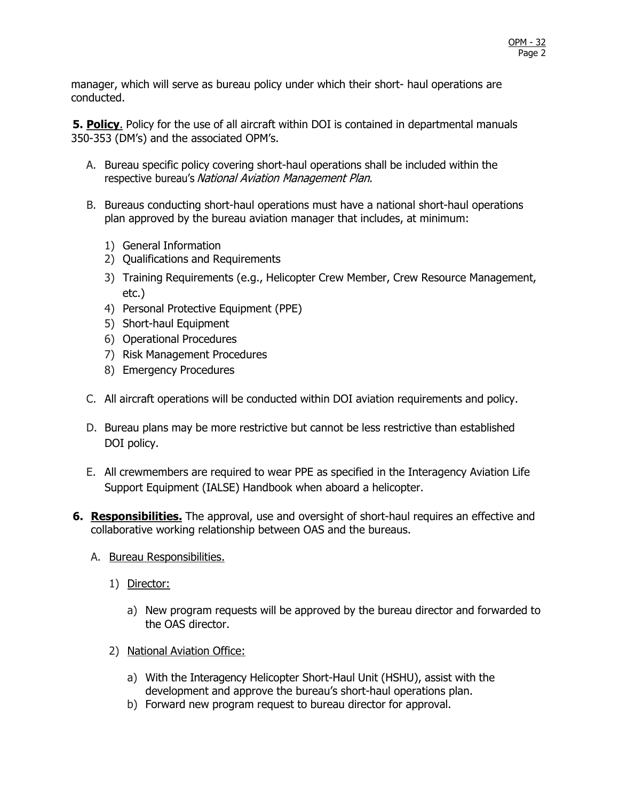manager, which will serve as bureau policy under which their short- haul operations are conducted.

**5. Policy**. Policy for the use of all aircraft within DOI is contained in departmental manuals 350-353 (DM's) and the associated OPM's.

- A. Bureau specific policy covering short-haul operations shall be included within the respective bureau's National Aviation Management Plan.
- B. Bureaus conducting short-haul operations must have a national short-haul operations plan approved by the bureau aviation manager that includes, at minimum:
	- 1) General Information
	- 2) Qualifications and Requirements
	- 3) Training Requirements (e.g., Helicopter Crew Member, Crew Resource Management, etc.)
	- 4) Personal Protective Equipment (PPE)
	- 5) Short-haul Equipment
	- 6) Operational Procedures
	- 7) Risk Management Procedures
	- 8) Emergency Procedures
- C. All aircraft operations will be conducted within DOI aviation requirements and policy.
- D. Bureau plans may be more restrictive but cannot be less restrictive than established DOI policy.
- E. All crewmembers are required to wear PPE as specified in the Interagency Aviation Life Support Equipment (IALSE) Handbook when aboard a helicopter.
- **6. Responsibilities.** The approval, use and oversight of short-haul requires an effective and collaborative working relationship between OAS and the bureaus.
	- A. Bureau Responsibilities.
		- 1) Director:
			- a) New program requests will be approved by the bureau director and forwarded to the OAS director.
		- 2) National Aviation Office:
			- a) With the Interagency Helicopter Short-Haul Unit (HSHU), assist with the development and approve the bureau's short-haul operations plan.
			- b) Forward new program request to bureau director for approval.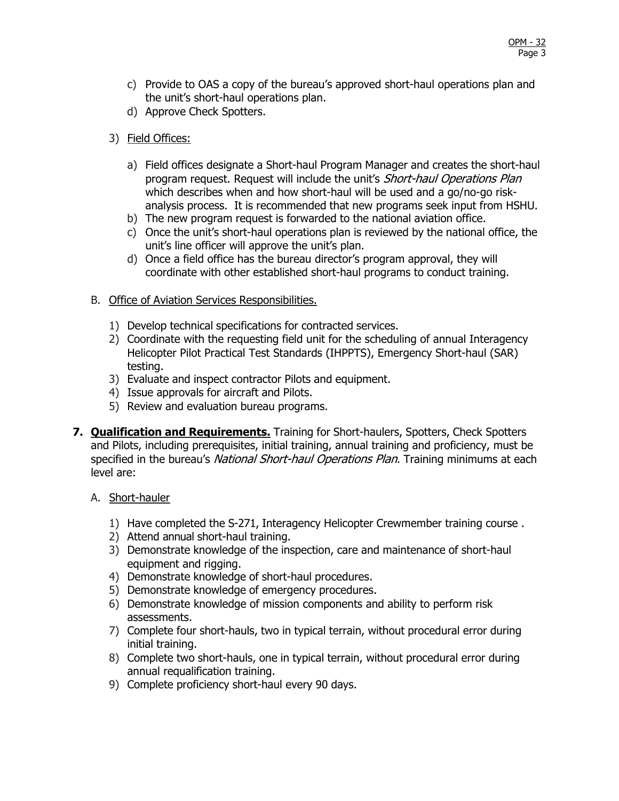- c) Provide to OAS a copy of the bureau's approved short-haul operations plan and the unit's short-haul operations plan.
- d) Approve Check Spotters.
- 3) Field Offices:
	- a) Field offices designate a Short-haul Program Manager and creates the short-haul program request. Request will include the unit's Short-haul Operations Plan which describes when and how short-haul will be used and a go/no-go riskanalysis process. It is recommended that new programs seek input from HSHU.
	- b) The new program request is forwarded to the national aviation office.
	- c) Once the unit's short-haul operations plan is reviewed by the national office, the unit's line officer will approve the unit's plan.
	- d) Once a field office has the bureau director's program approval, they will coordinate with other established short-haul programs to conduct training.
- B. Office of Aviation Services Responsibilities.
	- 1) Develop technical specifications for contracted services.
	- 2) Coordinate with the requesting field unit for the scheduling of annual Interagency Helicopter Pilot Practical Test Standards (IHPPTS), Emergency Short-haul (SAR) testing.
	- 3) Evaluate and inspect contractor Pilots and equipment.
	- 4) Issue approvals for aircraft and Pilots.
	- 5) Review and evaluation bureau programs.
- **7. Qualification and Requirements.** Training for Short-haulers, Spotters, Check Spotters and Pilots, including prerequisites, initial training, annual training and proficiency, must be specified in the bureau's National Short-haul Operations Plan. Training minimums at each level are:
	- A. Short-hauler
		- 1) Have completed the S-271, Interagency Helicopter Crewmember training course .
		- 2) Attend annual short-haul training.
		- 3) Demonstrate knowledge of the inspection, care and maintenance of short-haul equipment and rigging.
		- 4) Demonstrate knowledge of short-haul procedures.
		- 5) Demonstrate knowledge of emergency procedures.
		- 6) Demonstrate knowledge of mission components and ability to perform risk assessments.
		- 7) Complete four short-hauls, two in typical terrain, without procedural error during initial training.
		- 8) Complete two short-hauls, one in typical terrain, without procedural error during annual requalification training.
		- 9) Complete proficiency short-haul every 90 days.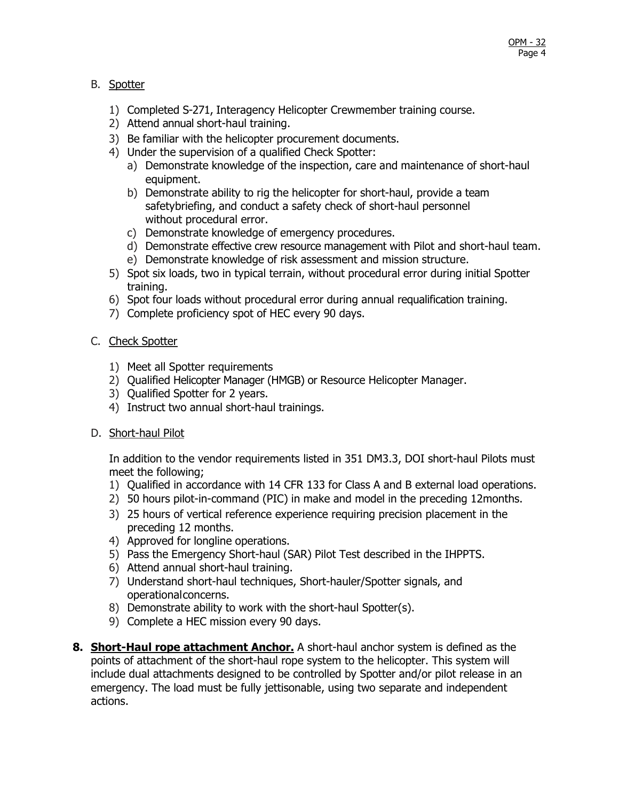## B. Spotter

- 1) Completed S-271, Interagency Helicopter Crewmember training course.
- 2) Attend annual short-haul training.
- 3) Be familiar with the helicopter procurement documents.
- 4) Under the supervision of a qualified Check Spotter:
	- a) Demonstrate knowledge of the inspection, care and maintenance of short-haul equipment.
	- b) Demonstrate ability to rig the helicopter for short-haul, provide a team safetybriefing, and conduct a safety check of short-haul personnel without procedural error.
	- c) Demonstrate knowledge of emergency procedures.
	- d) Demonstrate effective crew resource management with Pilot and short-haul team.
	- e) Demonstrate knowledge of risk assessment and mission structure.
- 5) Spot six loads, two in typical terrain, without procedural error during initial Spotter training.
- 6) Spot four loads without procedural error during annual requalification training.
- 7) Complete proficiency spot of HEC every 90 days.

## C. Check Spotter

- 1) Meet all Spotter requirements
- 2) Qualified Helicopter Manager (HMGB) or Resource Helicopter Manager.
- 3) Qualified Spotter for 2 years.
- 4) Instruct two annual short-haul trainings.
- D. Short-haul Pilot

In addition to the vendor requirements listed in 351 DM3.3, DOI short-haul Pilots must meet the following;

- 1) Qualified in accordance with 14 CFR 133 for Class A and B external load operations.
- 2) 50 hours pilot-in-command (PIC) in make and model in the preceding 12months.
- 3) 25 hours of vertical reference experience requiring precision placement in the preceding 12 months.
- 4) Approved for longline operations.
- 5) Pass the Emergency Short-haul (SAR) Pilot Test described in the IHPPTS.
- 6) Attend annual short-haul training.
- 7) Understand short-haul techniques, Short-hauler/Spotter signals, and operational concerns.
- 8) Demonstrate ability to work with the short-haul Spotter(s).
- 9) Complete a HEC mission every 90 days.
- **8. Short-Haul rope attachment Anchor.** A short-haul anchor system is defined as the points of attachment of the short-haul rope system to the helicopter. This system will include dual attachments designed to be controlled by Spotter and/or pilot release in an emergency. The load must be fully jettisonable, using two separate and independent actions.